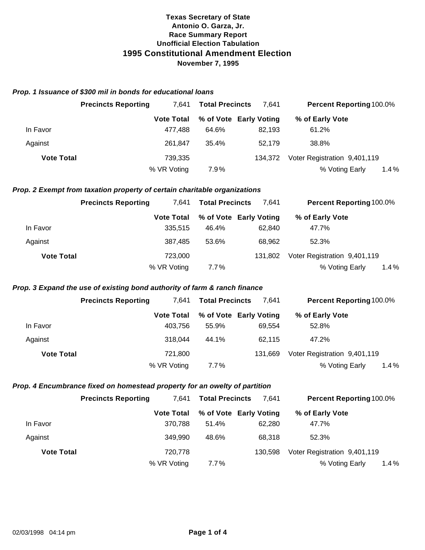#### *Prop. 1 Issuance of \$300 mil in bonds for educational loans*

|                   | <b>Precincts Reporting</b> | 7.641             | <b>Total Precincts</b> | 7.641                  | <b>Percent Reporting 100.0%</b> |      |
|-------------------|----------------------------|-------------------|------------------------|------------------------|---------------------------------|------|
|                   |                            | <b>Vote Total</b> |                        | % of Vote Early Voting | % of Early Vote                 |      |
| In Favor          |                            | 477.488           | 64.6%                  | 82.193                 | 61.2%                           |      |
| Against           |                            | 261.847           | 35.4%                  | 52.179                 | 38.8%                           |      |
| <b>Vote Total</b> |                            | 739.335           |                        | 134.372                | Voter Registration 9,401,119    |      |
|                   |                            | % VR Voting       | 7.9%                   |                        | % Voting Early                  | 1.4% |

#### *Prop. 2 Exempt from taxation property of certain charitable organizations*

|                   | <b>Precincts Reporting</b> | 7.641             | <b>Total Precincts</b> | 7.641                  | <b>Percent Reporting 100.0%</b> |         |
|-------------------|----------------------------|-------------------|------------------------|------------------------|---------------------------------|---------|
|                   |                            | <b>Vote Total</b> |                        | % of Vote Early Voting | % of Early Vote                 |         |
| In Favor          |                            | 335,515           | 46.4%                  | 62.840                 | 47.7%                           |         |
| Against           |                            | 387.485           | 53.6%                  | 68.962                 | 52.3%                           |         |
| <b>Vote Total</b> |                            | 723,000           |                        | 131.802                | Voter Registration 9,401,119    |         |
|                   |                            | % VR Voting       | 7.7%                   |                        | % Voting Early                  | $1.4\%$ |

## *Prop. 3 Expand the use of existing bond authority of farm & ranch finance*

|                   | <b>Precincts Reporting</b> | 7.641             | <b>Total Precincts</b> | 7.641                  |                              | <b>Percent Reporting 100.0%</b> |
|-------------------|----------------------------|-------------------|------------------------|------------------------|------------------------------|---------------------------------|
|                   |                            | <b>Vote Total</b> |                        | % of Vote Early Voting | % of Early Vote              |                                 |
| In Favor          |                            | 403.756           | 55.9%                  | 69.554                 | 52.8%                        |                                 |
| Against           |                            | 318.044           | 44.1%                  | 62.115                 | 47.2%                        |                                 |
| <b>Vote Total</b> |                            | 721.800           |                        | 131.669                | Voter Registration 9,401,119 |                                 |
|                   |                            | % VR Voting       | 7.7%                   |                        | % Voting Early               | $1.4\%$                         |

## *Prop. 4 Encumbrance fixed on homestead property for an owelty of partition*

|                   | <b>Precincts Reporting</b> | <b>Total Precincts</b><br>7.641 |       | 7.641                  | <b>Percent Reporting 100.0%</b> |  |
|-------------------|----------------------------|---------------------------------|-------|------------------------|---------------------------------|--|
|                   |                            | <b>Vote Total</b>               |       | % of Vote Early Voting | % of Early Vote                 |  |
| In Favor          |                            | 370.788                         | 51.4% | 62.280                 | 47.7%                           |  |
| Against           |                            | 349.990                         | 48.6% | 68.318                 | 52.3%                           |  |
| <b>Vote Total</b> |                            | 720.778                         |       | 130.598                | Voter Registration 9,401,119    |  |
|                   |                            | % VR Voting                     | 7.7%  |                        | 1.4%<br>% Voting Early          |  |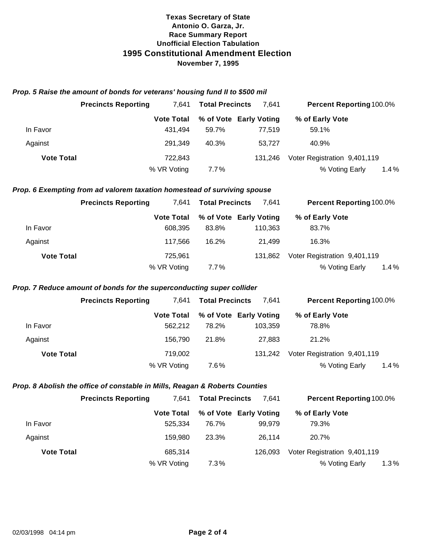#### *Prop. 5 Raise the amount of bonds for veterans' housing fund II to \$500 mil*

|                   | <b>Precincts Reporting</b> | 7.641             | <b>Total Precincts</b> | 7.641                  | <b>Percent Reporting 100.0%</b> |
|-------------------|----------------------------|-------------------|------------------------|------------------------|---------------------------------|
|                   |                            | <b>Vote Total</b> |                        | % of Vote Early Voting | % of Early Vote                 |
| In Favor          |                            | 431.494           | 59.7%                  | 77.519                 | 59.1%                           |
| Against           |                            | 291.349           | 40.3%                  | 53.727                 | 40.9%                           |
| <b>Vote Total</b> |                            | 722,843           |                        | 131.246                | Voter Registration 9,401,119    |
|                   |                            | % VR Voting       | 7.7%                   |                        | 1.4%<br>% Voting Early          |

## *Prop. 6 Exempting from ad valorem taxation homestead of surviving spouse*

|                   | <b>Precincts Reporting</b> | <b>Total Precincts</b><br>7.641 |         | 7.641                  | <b>Percent Reporting 100.0%</b> |         |
|-------------------|----------------------------|---------------------------------|---------|------------------------|---------------------------------|---------|
|                   |                            | <b>Vote Total</b>               |         | % of Vote Early Voting | % of Early Vote                 |         |
| In Favor          |                            | 608.395                         | 83.8%   | 110,363                | 83.7%                           |         |
| Against           |                            | 117.566                         | 16.2%   | 21.499                 | 16.3%                           |         |
| <b>Vote Total</b> |                            | 725,961                         |         | 131.862                | Voter Registration 9,401,119    |         |
|                   |                            | % VR Voting                     | $7.7\%$ |                        | % Voting Early                  | $1.4\%$ |

## *Prop. 7 Reduce amount of bonds for the superconducting super collider*

|                   | <b>Precincts Reporting</b> | 7.641             | <b>Total Precincts</b> | 7.641                  |                              | <b>Percent Reporting 100.0%</b> |         |
|-------------------|----------------------------|-------------------|------------------------|------------------------|------------------------------|---------------------------------|---------|
|                   |                            | <b>Vote Total</b> |                        | % of Vote Early Voting | % of Early Vote              |                                 |         |
| In Favor          |                            | 562.212           | 78.2%                  | 103.359                | 78.8%                        |                                 |         |
| Against           |                            | 156,790           | 21.8%                  | 27,883                 | 21.2%                        |                                 |         |
| <b>Vote Total</b> |                            | 719.002           |                        | 131.242                | Voter Registration 9,401,119 |                                 |         |
|                   |                            | % VR Voting       | 7.6%                   |                        | % Voting Early               |                                 | $1.4\%$ |

## *Prop. 8 Abolish the office of constable in Mills, Reagan & Roberts Counties*

|                   | <b>Precincts Reporting</b> | 7.641             | <b>Total Precincts</b> | 7.641                  | <b>Percent Reporting 100.0%</b> |  |
|-------------------|----------------------------|-------------------|------------------------|------------------------|---------------------------------|--|
|                   |                            | <b>Vote Total</b> |                        | % of Vote Early Voting | % of Early Vote                 |  |
| In Favor          |                            | 525.334           | 76.7%                  | 99.979                 | 79.3%                           |  |
| Against           |                            | 159.980           | 23.3%                  | 26.114                 | 20.7%                           |  |
| <b>Vote Total</b> |                            | 685.314           |                        | 126.093                | Voter Registration 9,401,119    |  |
|                   |                            | % VR Voting       | 7.3%                   |                        | 1.3%<br>% Voting Early          |  |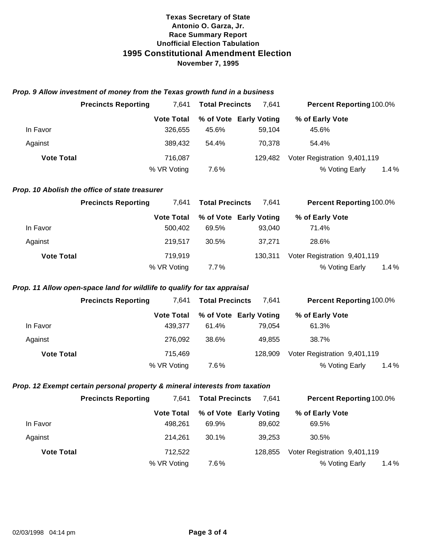#### *Prop. 9 Allow investment of money from the Texas growth fund in a business*

|                   | <b>Precincts Reporting</b> | 7.641             | <b>Total Precincts</b> | 7.641                  | <b>Percent Reporting 100.0%</b> |
|-------------------|----------------------------|-------------------|------------------------|------------------------|---------------------------------|
|                   |                            | <b>Vote Total</b> |                        | % of Vote Early Voting | % of Early Vote                 |
| In Favor          |                            | 326.655           | 45.6%                  | 59.104                 | 45.6%                           |
| Against           |                            | 389.432           | 54.4%                  | 70.378                 | 54.4%                           |
| <b>Vote Total</b> |                            | 716,087           |                        | 129.482                | Voter Registration 9,401,119    |
|                   |                            | % VR Voting       | 7.6%                   |                        | 1.4%<br>% Voting Early          |

#### *Prop. 10 Abolish the office of state treasurer*

|                   | <b>Precincts Reporting</b> | 7.641             | <b>Total Precincts</b> | 7.641   | <b>Percent Reporting 100.0%</b> |  |
|-------------------|----------------------------|-------------------|------------------------|---------|---------------------------------|--|
|                   |                            | <b>Vote Total</b> | % of Vote Early Voting |         | % of Early Vote                 |  |
| In Favor          |                            | 500.402           | 69.5%                  | 93.040  | 71.4%                           |  |
| Against           |                            | 219.517           | 30.5%                  | 37.271  | 28.6%                           |  |
| <b>Vote Total</b> |                            | 719.919           |                        | 130.311 | Voter Registration 9,401,119    |  |
|                   |                            | % VR Voting       | $7.7\%$                |         | % Voting Early<br>$1.4\%$       |  |

## *Prop. 11 Allow open-space land for wildlife to qualify for tax appraisal*

|                   | <b>Precincts Reporting</b> | 7.641            | <b>Total Precincts</b> | 7.641           | <b>Percent Reporting 100.0%</b> |
|-------------------|----------------------------|------------------|------------------------|-----------------|---------------------------------|
|                   | <b>Vote Total</b>          |                  | % of Vote Early Voting | % of Early Vote |                                 |
| In Favor          |                            | 61.4%<br>439.377 |                        | 61.3%<br>79.054 |                                 |
| Against           |                            | 38.6%<br>276.092 |                        | 38.7%<br>49.855 |                                 |
| <b>Vote Total</b> |                            | 715.469          |                        | 128.909         | Voter Registration 9,401,119    |
|                   | % VR Voting                | 7.6%             |                        |                 | % Voting Early<br>$1.4\%$       |

## *Prop. 12 Exempt certain personal property & mineral interests from taxation*

|                   | <b>Precincts Reporting</b> | 7.641<br><b>Total Precincts</b> |       | 7.641                  | <b>Percent Reporting 100.0%</b> |         |  |
|-------------------|----------------------------|---------------------------------|-------|------------------------|---------------------------------|---------|--|
|                   |                            | <b>Vote Total</b>               |       | % of Vote Early Voting | % of Early Vote                 |         |  |
| In Favor          |                            | 498.261                         | 69.9% | 89.602                 | 69.5%                           |         |  |
| Against           |                            | 214.261                         | 30.1% | 39.253                 | 30.5%                           |         |  |
| <b>Vote Total</b> |                            | 712.522                         |       | 128.855                | Voter Registration 9,401,119    |         |  |
|                   |                            | % VR Voting                     | 7.6%  |                        | % Voting Early                  | $1.4\%$ |  |